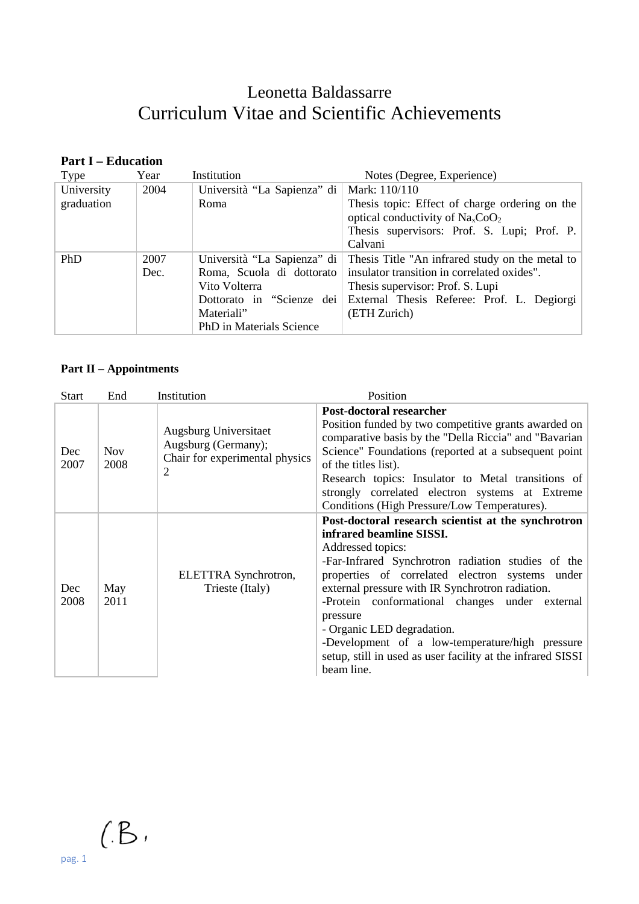# Leonetta Baldassarre Curriculum Vitae and Scientific Achievements

## **Part I – Education**

| Type       | Year | Institution                 | Notes (Degree, Experience)                                                    |
|------------|------|-----------------------------|-------------------------------------------------------------------------------|
| University | 2004 | Università "La Sapienza" di | Mark: $110/110$                                                               |
| graduation |      | Roma                        | Thesis topic: Effect of charge ordering on the                                |
|            |      |                             | optical conductivity of $NaxCoO2$                                             |
|            |      |                             | Thesis supervisors: Prof. S. Lupi; Prof. P.                                   |
|            |      |                             | Calvani                                                                       |
| PhD        | 2007 |                             | Università "La Sapienza" di   Thesis Title "An infrared study on the metal to |
|            | Dec. | Roma, Scuola di dottorato   | insulator transition in correlated oxides".                                   |
|            |      | Vito Volterra               | Thesis supervisor: Prof. S. Lupi                                              |
|            |      | Dottorato in "Scienze dei   | External Thesis Referee: Prof. L. Degiorgi                                    |
|            |      | Materiali"                  | (ETH Zurich)                                                                  |
|            |      | PhD in Materials Science    |                                                                               |

### **Part II – Appointments**

| Start       | End                | Institution                                                                         | Position                                                                                                                                                                                                                                                                                                                                                                                                                                                                                      |
|-------------|--------------------|-------------------------------------------------------------------------------------|-----------------------------------------------------------------------------------------------------------------------------------------------------------------------------------------------------------------------------------------------------------------------------------------------------------------------------------------------------------------------------------------------------------------------------------------------------------------------------------------------|
| Dec<br>2007 | <b>Nov</b><br>2008 | Augsburg Universitaet<br>Augsburg (Germany);<br>Chair for experimental physics<br>2 | Post-doctoral researcher<br>Position funded by two competitive grants awarded on<br>comparative basis by the "Della Riccia" and "Bavarian<br>Science" Foundations (reported at a subsequent point<br>of the titles list).<br>Research topics: Insulator to Metal transitions of<br>strongly correlated electron systems at Extreme<br>Conditions (High Pressure/Low Temperatures).                                                                                                            |
| Dec<br>2008 | May<br>2011        | ELETTRA Synchrotron,<br>Trieste (Italy)                                             | Post-doctoral research scientist at the synchrotron<br>infrared beamline SISSI.<br>Addressed topics:<br>-Far-Infrared Synchrotron radiation studies of the<br>properties of correlated electron systems under<br>external pressure with IR Synchrotron radiation.<br>-Protein conformational changes under external<br>pressure<br>- Organic LED degradation.<br>-Development of a low-temperature/high pressure<br>setup, still in used as user facility at the infrared SISSI<br>beam line. |

 $(B,$